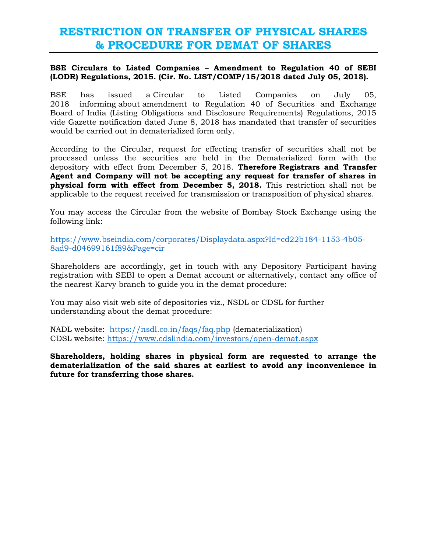## **RESTRICTION ON TRANSFER OF PHYSICAL SHARES & PROCEDURE FOR DEMAT OF SHARES**

## **BSE Circulars to Listed Companies – Amendment to Regulation 40 of SEBI (LODR) Regulations, 2015. (Cir. No. LIST/COMP/15/2018 dated July 05, 2018).**

BSE has issued a Circular to Listed Companies on July 05, 2018 informing about amendment to Regulation 40 of Securities and Exchange Board of India (Listing Obligations and Disclosure Requirements) Regulations, 2015 vide Gazette notification dated June 8, 2018 has mandated that transfer of securities would be carried out in dematerialized form only.

According to the Circular, request for effecting transfer of securities shall not be processed unless the securities are held in the Dematerialized form with the depository with effect from December 5, 2018. **Therefore Registrars and Transfer Agent and Company will not be accepting any request for transfer of shares in physical form with effect from December 5, 2018.** This restriction shall not be applicable to the request received for transmission or transposition of physical shares.

You may access the Circular from the website of Bombay Stock Exchange using the following link:

[https://www.bseindia.com/corporates/Displaydata.aspx?Id=cd22b184-1153-4b05-](https://www.bseindia.com/corporates/Displaydata.aspx?Id=cd22b184-1153-4b05-8ad9-d04699161f89&Page=cir) [8ad9-d04699161f89&Page=cir](https://www.bseindia.com/corporates/Displaydata.aspx?Id=cd22b184-1153-4b05-8ad9-d04699161f89&Page=cir)

Shareholders are accordingly, get in touch with any Depository Participant having registration with SEBI to open a Demat account or alternatively, contact any office of the nearest Karvy branch to guide you in the demat procedure:

You may also visit web site of depositories viz., NSDL or CDSL for further understanding about the demat procedure:

NADL website: <https://nsdl.co.in/faqs/faq.php> (dematerialization) CDSL website:<https://www.cdslindia.com/investors/open-demat.aspx>

**Shareholders, holding shares in physical form are requested to arrange the dematerialization of the said shares at earliest to avoid any inconvenience in future for transferring those shares.**